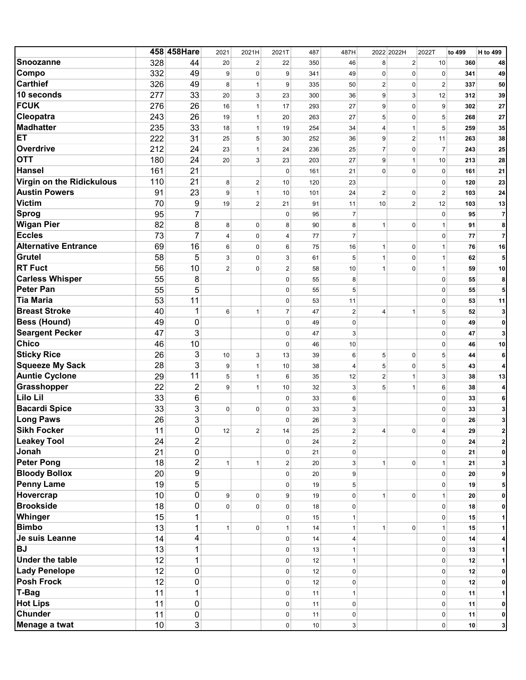|                                           |          | 458 458 Hare   | 2021           | 2021H            | 2021T          | 487 | 487H           |                | 2022 2022H     | 2022T          | to 499          | H to 499       |
|-------------------------------------------|----------|----------------|----------------|------------------|----------------|-----|----------------|----------------|----------------|----------------|-----------------|----------------|
| <b>Snoozanne</b>                          | 328      | 44             | 20             | $\boldsymbol{2}$ | 22             | 350 | 46             | 8              | $\sqrt{2}$     | 10             | 360             | 48             |
| Compo                                     | 332      | 49             | 9              | $\mathbf 0$      | 9              | 341 | 49             | $\mathbf 0$    | $\mathbf 0$    | $\mathbf 0$    | 341             | 49             |
| <b>Carthief</b>                           | 326      | 49             | 8              | $\mathbf{1}$     | 9              | 335 | 50             | $\overline{2}$ | $\mathbf 0$    | $\overline{2}$ | 337             | 50             |
| 10 seconds                                | 277      | 33             | 20             | 3                | 23             | 300 | 36             | 9              | 3              | 12             | 312             | 39             |
| <b>FCUK</b>                               | 276      | 26             | 16             | $\mathbf{1}$     | 17             | 293 | 27             | 9              | $\mathbf 0$    | 9              | 302             | 27             |
| Cleopatra                                 | 243      | 26             | 19             | $\mathbf{1}$     | 20             | 263 | 27             | 5              | $\mathbf 0$    | 5              | 268             | 27             |
| <b>Madhatter</b>                          | 235      | 33             | 18             | $\mathbf{1}$     | 19             | 254 | 34             | 4              | $\mathbf{1}$   | 5              | 259             | 35             |
| <b>ET</b>                                 | 222      | 31             | 25             | 5                | 30             | 252 | 36             | 9              | $\overline{2}$ | 11             | 263             | 38             |
| Overdrive                                 | 212      | 24             | 23             | $\mathbf{1}$     | 24             | 236 | 25             | $\overline{7}$ | $\mathbf 0$    | $\overline{7}$ | 243             | 25             |
| <b>OTT</b>                                | 180      | 24             | 20             | 3                | 23             | 203 | 27             | 9              | $\mathbf{1}$   | 10             | 213             | 28             |
| <b>Hansel</b>                             | 161      | 21             |                |                  | $\mathbf 0$    | 161 | 21             | $\Omega$       | $\mathbf 0$    | $\mathbf 0$    | 161             | 21             |
| Virgin on the Ridickulous                 | 110      | 21             | 8              | $\boldsymbol{2}$ | 10             | 120 | 23             |                |                | $\mathbf 0$    | 120             | 23             |
| <b>Austin Powers</b>                      | 91       | 23             | 9              | $\mathbf{1}$     | 10             | 101 | 24             | $\overline{2}$ | 0              | $\overline{2}$ | 103             | 24             |
| <b>Victim</b>                             | 70       | 9              | 19             | $\overline{2}$   | 21             | 91  | 11             | 10             | $\overline{2}$ | 12             | 103             | 13             |
| Sprog                                     | 95       | $\overline{7}$ |                |                  | $\mathbf 0$    | 95  | $\overline{7}$ |                |                | $\pmb{0}$      | 95              | 7              |
| <b>Wigan Pier</b>                         | 82       | 8              | 8              | $\mathbf 0$      | 8              | 90  | 8              | $\mathbf{1}$   | $\mathbf 0$    | $\mathbf 1$    | 91              | 8              |
| <b>Eccles</b>                             | 73       | $\overline{7}$ | 4              | $\mathbf 0$      | $\overline{4}$ | 77  | $\overline{7}$ |                |                | $\mathbf 0$    | 77              | $\overline{7}$ |
| <b>Alternative Entrance</b>               | 69       | 16             | 6              | $\mathbf 0$      | 6              | 75  | 16             | $\mathbf{1}$   | 0              | $\mathbf{1}$   | 76              | 16             |
| <b>Grutel</b>                             | 58       | 5              | 3              | $\mathbf 0$      | 3              | 61  | 5              | $\mathbf{1}$   | $\mathbf 0$    | $\overline{1}$ | 62              | 5              |
| <b>RT</b> Fuct                            | 56       | 10             | $\overline{2}$ | $\mathbf 0$      | $\overline{2}$ | 58  | 10             | $\mathbf{1}$   | $\mathbf 0$    | $\overline{1}$ | 59              | 10             |
| <b>Carless Whisper</b>                    | 55       | 8              |                |                  | $\mathbf 0$    | 55  | 8              |                |                | $\mathbf 0$    | 55              | 8              |
| <b>Peter Pan</b>                          | 55       | 5              |                |                  | $\mathbf 0$    | 55  | 5              |                |                | $\mathbf 0$    | 55              | 5              |
| <b>Tia Maria</b>                          | 53       | 11             |                |                  | $\mathbf 0$    | 53  | 11             |                |                | $\mathbf 0$    | 53              | 11             |
| <b>Breast Stroke</b>                      | 40       | 1              | 6              | $\mathbf{1}$     | $\overline{7}$ | 47  | $\overline{2}$ | $\overline{4}$ | $\mathbf{1}$   | 5              | 52              | 3              |
| <b>Bess (Hound)</b>                       | 49       | 0              |                |                  | $\mathbf 0$    | 49  | $\mathbf 0$    |                |                | $\mathbf 0$    | 49              | 0              |
| <b>Seargent Pecker</b>                    | 47       | 3              |                |                  | $\mathbf 0$    | 47  | 3              |                |                | $\mathbf 0$    | 47              |                |
| <b>Chico</b>                              | 46       | 10             |                |                  | $\mathbf 0$    | 46  | 10             |                |                | $\mathbf 0$    | 46              | 10             |
| <b>Sticky Rice</b>                        | 26       | 3              | 10             | 3                | 13             | 39  | 6              | 5              | 0              | 5              | 44              | 6              |
| <b>Squeeze My Sack</b>                    | 28       | $\overline{3}$ | 9              | $\mathbf{1}$     | 10             | 38  | 4              | 5              | $\mathbf 0$    | 5              | 43              |                |
| <b>Auntie Cyclone</b>                     | 29       | 11             | 5              | $\mathbf{1}$     | 6              | 35  | 12             | $\overline{2}$ | $\mathbf{1}$   | 3              | 38              | 13             |
| Grasshopper                               | 22       | 2              | 9              | $\mathbf{1}$     | 10             | 32  | 3              | 5              | $\mathbf{1}$   | 6              | 38              |                |
| <b>Lilo Lil</b>                           | 33       | 6              |                |                  | $\mathbf 0$    | 33  | 6              |                |                | $\mathbf 0$    | 33              | 6              |
| <b>Bacardi Spice</b>                      | 33       | 3              | $\mathbf 0$    | $\mathbf 0$      | $\mathbf 0$    | 33  | 3              |                |                | 0              | 33              | 3              |
| <b>Long Paws</b>                          | 26       | 3              |                |                  | $\mathbf 0$    | 26  | 3              |                |                | $\mathbf 0$    | 26              | 3              |
| <b>Sikh Focker</b>                        | 11       | 0              | 12             | $\overline{2}$   | 14             | 25  | $\overline{c}$ | 4              | $\pmb{0}$      | 4              | 29              | ົ              |
| <b>Leakey Tool</b>                        | 24       | $\overline{c}$ |                |                  | $\pmb{0}$      | 24  | $\overline{2}$ |                |                | $\mathbf 0$    | 24              | $\mathbf{2}$   |
| Jonah                                     | 21       | 0              |                |                  | $\pmb{0}$      | 21  | $\mathbf 0$    |                |                | $\mathbf 0$    | 21              | 0              |
| <b>Peter Pong</b>                         | 18       | $\overline{2}$ | $\mathbf{1}$   | $\mathbf{1}$     | $\mathbf{2}$   | 20  | 3              | $\mathbf{1}$   | 0              | 1              | 21              |                |
| <b>Bloody Bollox</b>                      | 20       | 9              |                |                  | $\mathbf 0$    | 20  | 9              |                |                | $\mathbf 0$    | 20              |                |
| <b>Penny Lame</b>                         | 19       | 5              |                |                  | $\mathbf 0$    | 19  | 5              |                |                | $\Omega$       | 19              |                |
| Hovercrap                                 | 10       | 0              | 9              | $\mathbf 0$      | 9              | 19  | $\mathbf 0$    | $\mathbf{1}$   | 0              | 1              | 20              |                |
| <b>Brookside</b>                          | 18       | 0              | $\mathbf 0$    | $\mathbf 0$      | $\mathbf 0$    | 18  | $\mathbf 0$    |                |                | $\mathbf 0$    | 18              |                |
| Whinger                                   | 15       | 1              |                |                  | $\mathbf 0$    | 15  | 1              |                |                | $\Omega$       | 15              |                |
| <b>Bimbo</b>                              | 13       | 1              | $\mathbf{1}$   | $\mathbf 0$      | $\mathbf{1}$   | 14  | $\mathbf{1}$   | $\mathbf{1}$   | 0              | 1              | 15              |                |
| Je suis Leanne<br><b>BJ</b>               | 14       | 4              |                |                  | $\mathbf 0$    | 14  | 4              |                |                | $\mathbf 0$    | 14              |                |
| <b>Under the table</b>                    | 13       | 1              |                |                  | $\pmb{0}$      | 13  | 1              |                |                | $\mathbf 0$    | 13              |                |
|                                           | 12<br>12 | 1              |                |                  | $\pmb{0}$      | 12  |                |                |                | $\mathbf 0$    | 12              |                |
| <b>Lady Penelope</b><br><b>Posh Frock</b> |          | 0              |                |                  | $\pmb{0}$      | 12  | 0              |                |                | $\mathbf 0$    | 12              | 0              |
|                                           | 12       | 0              |                |                  | $\mathbf 0$    | 12  | $\mathbf 0$    |                |                | $\mathbf 0$    | 12              | 0              |
| T-Bag                                     | 11       | 1              |                |                  | $\pmb{0}$      | 11  | 1              |                |                | $\mathbf 0$    | 11              |                |
| <b>Hot Lips</b><br><b>Chunder</b>         | 11       | 0              |                |                  | $\mathbf 0$    | 11  | 0              |                |                | $\mathbf 0$    | 11              | $\mathbf{0}$   |
|                                           | 11       | 0              |                |                  | $\mathbf 0$    | 11  | 0              |                |                | $\Omega$       | 11              | 0              |
| Menage a twat                             | 10       | 3              |                |                  | $\pmb{0}$      | 10  | 3 <sup>1</sup> |                |                | 0              | 10 <sup>1</sup> | 3 <sub>l</sub> |